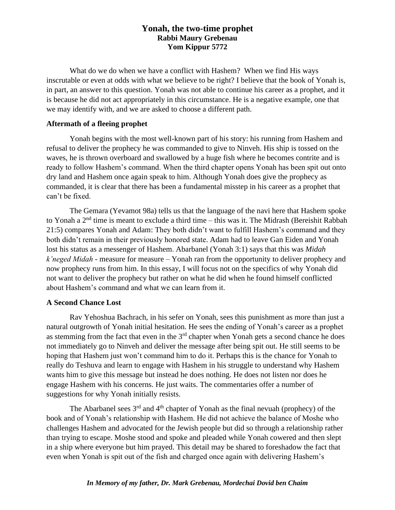# **Yonah, the two-time prophet Rabbi Maury Grebenau Yom Kippur 5772**

What do we do when we have a conflict with Hashem? When we find His ways inscrutable or even at odds with what we believe to be right? I believe that the book of Yonah is, in part, an answer to this question. Yonah was not able to continue his career as a prophet, and it is because he did not act appropriately in this circumstance. He is a negative example, one that we may identify with, and we are asked to choose a different path.

## **Aftermath of a fleeing prophet**

Yonah begins with the most well-known part of his story: his running from Hashem and refusal to deliver the prophecy he was commanded to give to Ninveh. His ship is tossed on the waves, he is thrown overboard and swallowed by a huge fish where he becomes contrite and is ready to follow Hashem's command. When the third chapter opens Yonah has been spit out onto dry land and Hashem once again speak to him. Although Yonah does give the prophecy as commanded, it is clear that there has been a fundamental misstep in his career as a prophet that can't be fixed.

The Gemara (Yevamot 98a) tells us that the language of the navi here that Hashem spoke to Yonah a 2<sup>nd</sup> time is meant to exclude a third time – this was it. The Midrash (Bereishit Rabbah 21:5) compares Yonah and Adam: They both didn't want to fulfill Hashem's command and they both didn't remain in their previously honored state. Adam had to leave Gan Eiden and Yonah lost his status as a messenger of Hashem. Abarbanel (Yonah 3:1) says that this was *Midah k'neged Midah* - measure for measure – Yonah ran from the opportunity to deliver prophecy and now prophecy runs from him. In this essay, I will focus not on the specifics of why Yonah did not want to deliver the prophecy but rather on what he did when he found himself conflicted about Hashem's command and what we can learn from it.

# **A Second Chance Lost**

Rav Yehoshua Bachrach, in his sefer on Yonah, sees this punishment as more than just a natural outgrowth of Yonah initial hesitation. He sees the ending of Yonah's career as a prophet as stemming from the fact that even in the  $3<sup>rd</sup>$  chapter when Yonah gets a second chance he does not immediately go to Ninveh and deliver the message after being spit out. He still seems to be hoping that Hashem just won't command him to do it. Perhaps this is the chance for Yonah to really do Teshuva and learn to engage with Hashem in his struggle to understand why Hashem wants him to give this message but instead he does nothing. He does not listen nor does he engage Hashem with his concerns. He just waits. The commentaries offer a number of suggestions for why Yonah initially resists.

The Abarbanel sees  $3<sup>rd</sup>$  and  $4<sup>th</sup>$  chapter of Yonah as the final nevuah (prophecy) of the book and of Yonah's relationship with Hashem. He did not achieve the balance of Moshe who challenges Hashem and advocated for the Jewish people but did so through a relationship rather than trying to escape. Moshe stood and spoke and pleaded while Yonah cowered and then slept in a ship where everyone but him prayed. This detail may be shared to foreshadow the fact that even when Yonah is spit out of the fish and charged once again with delivering Hashem's

#### *In Memory of my father, Dr. Mark Grebenau, Mordechai Dovid ben Chaim*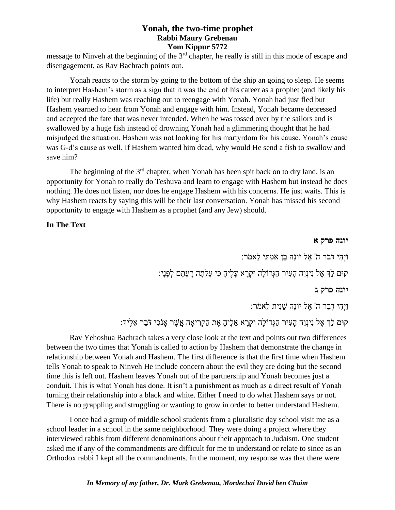## **Yonah, the two-time prophet Rabbi Maury Grebenau Yom Kippur 5772**

message to Ninveh at the beginning of the 3<sup>rd</sup> chapter, he really is still in this mode of escape and disengagement, as Rav Bachrach points out.

Yonah reacts to the storm by going to the bottom of the ship an going to sleep. He seems to interpret Hashem's storm as a sign that it was the end of his career as a prophet (and likely his life) but really Hashem was reaching out to reengage with Yonah. Yonah had just fled but Hashem yearned to hear from Yonah and engage with him. Instead, Yonah became depressed and accepted the fate that was never intended. When he was tossed over by the sailors and is swallowed by a huge fish instead of drowning Yonah had a glimmering thought that he had misjudged the situation. Hashem was not looking for his martyrdom for his cause. Yonah's cause was G-d's cause as well. If Hashem wanted him dead, why would He send a fish to swallow and save him?

The beginning of the  $3<sup>rd</sup>$  chapter, when Yonah has been spit back on to dry land, is an opportunity for Yonah to really do Teshuva and learn to engage with Hashem but instead he does nothing. He does not listen, nor does he engage Hashem with his concerns. He just waits. This is why Hashem reacts by saying this will be their last conversation. Yonah has missed his second opportunity to engage with Hashem as a prophet (and any Jew) should.

## **In The Text**

#### **יונה פרק א**

וַיְהִי דְּבַר ה' אֶל יוֹנָה בֵן אֲמִתַּי לֵאמֹר:

קּום לְֵך אֶ ל נִינְוֵה הָעִ יר הַגְדֹולָה ּוקְ רָ א עָלֶיהָ כִ י עָלְתָ ה רָ עָתָ ם לְפָנָי:

#### **יונה פרק ג**

וַיְהִ י דְ בַר ה' אֶ ל יֹונָה שֵ נִית לֵאמֹר:

קּום לְֵך אֶ ל נִינְוֵה הָעִ יר הַגְדֹולָה ּוקְ רָ א אֵ לֶיהָ אֶ ת הַקְ רִ יאָ ה אֲשֶ ר אָ נֹכִ י דֹבֵר אֵ לֶיָך:

Rav Yehoshua Bachrach takes a very close look at the text and points out two differences between the two times that Yonah is called to action by Hashem that demonstrate the change in relationship between Yonah and Hashem. The first difference is that the first time when Hashem tells Yonah to speak to Ninveh He include concern about the evil they are doing but the second time this is left out. Hashem leaves Yonah out of the partnership and Yonah becomes just a conduit. This is what Yonah has done. It isn't a punishment as much as a direct result of Yonah turning their relationship into a black and white. Either I need to do what Hashem says or not. There is no grappling and struggling or wanting to grow in order to better understand Hashem.

I once had a group of middle school students from a pluralistic day school visit me as a school leader in a school in the same neighborhood. They were doing a project where they interviewed rabbis from different denominations about their approach to Judaism. One student asked me if any of the commandments are difficult for me to understand or relate to since as an Orthodox rabbi I kept all the commandments. In the moment, my response was that there were